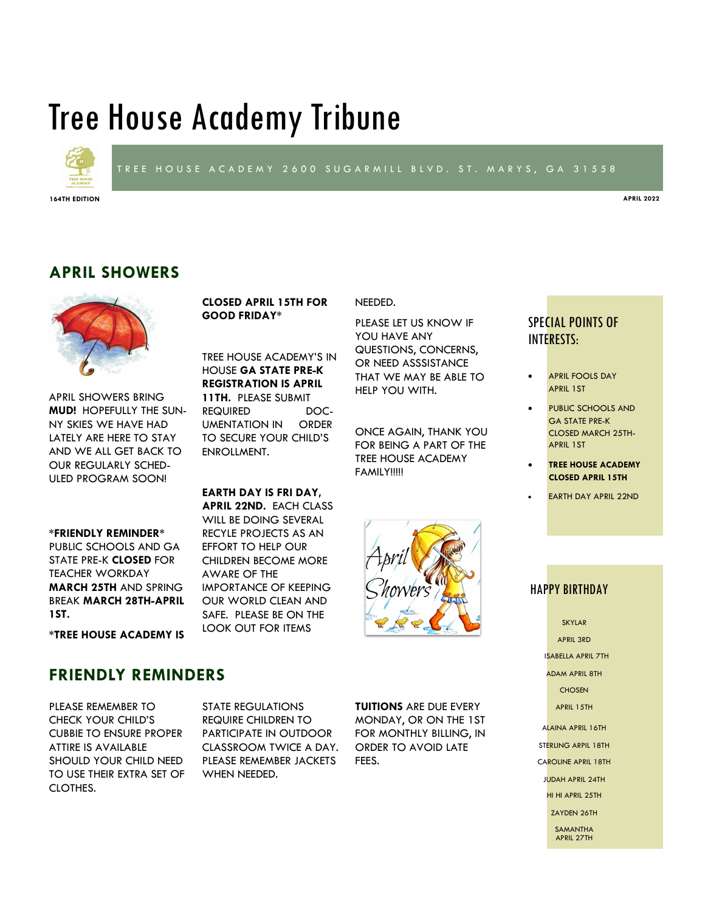# Tree House Academy Tribune

**CLOSED APRIL 15TH FOR** 

TREE HOUSE ACADEMY'S IN HOUSE **GA STATE PRE-K REGISTRATION IS APRIL 11TH.** PLEASE SUBMIT REQUIRED DOC-UMENTATION IN ORDER TO SECURE YOUR CHILD'S

**GOOD FRIDAY\***

ENROLLMENT.

AWARE OF THE

**EARTH DAY IS FRI DAY, APRIL 22ND.** EACH CLASS WILL BE DOING SEVERAL RECYLE PROJECTS AS AN EFFORT TO HELP OUR CHILDREN BECOME MORE

IMPORTANCE OF KEEPING OUR WORLD CLEAN AND SAFE. PLEASE BE ON THE LOOK OUT FOR ITEMS



#### TREE HOUSE ACADEMY 2600 SUGARMILL BLVD. ST. MARYS, GA 31558

NEEDED.

**164TH EDITION APRIL 2022**

## **APRIL SHOWERS**



APRIL SHOWERS BRING **MUD!** HOPEFULLY THE SUN-NY SKIES WE HAVE HAD LATELY ARE HERE TO STAY AND WE ALL GET BACK TO OUR REGULARLY SCHED-ULED PROGRAM SOON!

#### **\*FRIENDLY REMINDER\***

PUBLIC SCHOOLS AND GA STATE PRE-K **CLOSED** FOR TEACHER WORKDAY **MARCH 25TH** AND SPRING BREAK **MARCH 28TH-APRIL 1ST.** 

**\*TREE HOUSE ACADEMY IS** 

## **FRIENDLY REMINDERS**

PLEASE REMEMBER TO CHECK YOUR CHILD'S CUBBIE TO ENSURE PROPER ATTIRE IS AVAILABLE SHOULD YOUR CHILD NEED TO USE THEIR EXTRA SET OF CLOTHES.

STATE REGULATIONS REQUIRE CHILDREN TO PARTICIPATE IN OUTDOOR CLASSROOM TWICE A DAY. PLEASE REMEMBER JACKETS WHEN NEEDED.

**TUITIONS** ARE DUE EVERY MONDAY, OR ON THE 1ST FOR MONTHLY BILLING, IN ORDER TO AVOID LATE FEES.

## PLEASE LET US KNOW IF

YOU HAVE ANY QUESTIONS, CONCERNS, OR NEED ASSSISTANCE THAT WE MAY BE ABLE TO HELP YOU WITH.

ONCE AGAIN, THANK YOU FOR BEING A PART OF THE TREE HOUSE ACADEMY **FAMILY!!!!!** 

#### SPECIAL POINTS OF INTERESTS:

- APRIL FOOLS DAY APRIL 1ST
- PUBLIC SCHOOLS AND GA STATE PRE-K CLOSED MARCH 25TH-APRIL 1ST
- **TREE HOUSE ACADEMY CLOSED APRIL 15TH**
- EARTH DAY APRIL 22ND

#### HAPPY BIRTHDAY

SKYLAR APRIL 3RD ISABELLA APRIL 7TH ADAM APRIL 8TH **CHOSEN** APRIL 15TH ALAINA APRIL 16TH STERLING ARPIL 18TH CAROLINE APRIL 18TH JUDAH APRIL 24TH HI HI APRIL 25TH ZAYDEN 26TH **SAMANTHA** APRIL 27TH